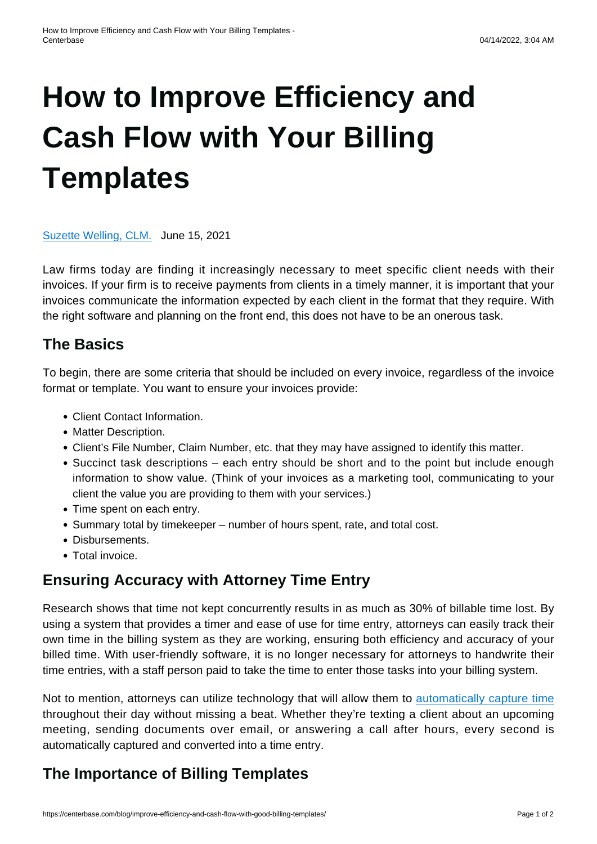# **[How to Improve Efficiency and](https://centerbase.com/blog/improve-efficiency-and-cash-flow-with-good-billing-templates/) [Cash Flow with Your Billing](https://centerbase.com/blog/improve-efficiency-and-cash-flow-with-good-billing-templates/) [Templates](https://centerbase.com/blog/improve-efficiency-and-cash-flow-with-good-billing-templates/)**

[Suzette Welling, CLM.](https://centerbase.com/blog/author/suzette-welling/) June 15, 2021

Law firms today are finding it increasingly necessary to meet specific client needs with their invoices. If your firm is to receive payments from clients in a timely manner, it is important that your invoices communicate the information expected by each client in the format that they require. With the right software and planning on the front end, this does not have to be an onerous task.

# **The Basics**

To begin, there are some criteria that should be included on every invoice, regardless of the invoice format or template. You want to ensure your invoices provide:

- Client Contact Information.
- Matter Description.
- Client's File Number, Claim Number, etc. that they may have assigned to identify this matter.
- Succinct task descriptions each entry should be short and to the point but include enough information to show value. (Think of your invoices as a marketing tool, communicating to your client the value you are providing to them with your services.)
- Time spent on each entry.
- Summary total by timekeeper number of hours spent, rate, and total cost.
- Disbursements.
- Total invoice.

# **Ensuring Accuracy with Attorney Time Entry**

Research shows that time not kept concurrently results in as much as 30% of billable time lost. By using a system that provides a timer and ease of use for time entry, attorneys can easily track their own time in the billing system as they are working, ensuring both efficiency and accuracy of your billed time. With user-friendly software, it is no longer necessary for attorneys to handwrite their time entries, with a staff person paid to take the time to enter those tasks into your billing system.

Not to mention, attorneys can utilize technology that will allow them to [automatically capture time](https://centerbase.com/features/legal-timekeeping/automated-time-capture/) throughout their day without missing a beat. Whether they're texting a client about an upcoming meeting, sending documents over email, or answering a call after hours, every second is automatically captured and converted into a time entry.

# **The Importance of Billing Templates**